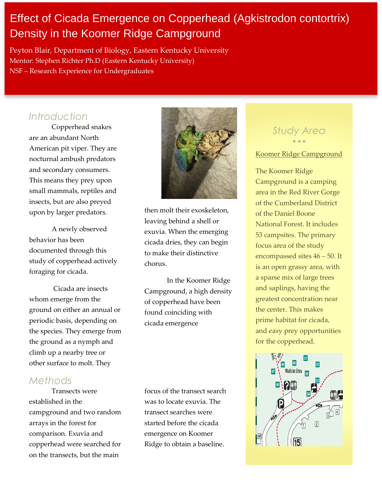# Effect of Cicada Emergence on Copperhead (Agkistrodon contortrix) Density in the Koomer Ridge Campground

Peyton Blair, Department of Biology, Eastern Kentucky University Mentor: Stephen Richter Ph.D (Eastern Kentucky University) NSF – Research Experience for Undergraduates

## *Introduction*

Copperhead snakes are an abundant North American pit viper. They are nocturnal ambush predators and secondary consumers. This means they prey upon small mammals, reptiles and insects, but are also preyed upon by larger predators.

A newly observed behavior has been documented through this study of copperhead actively foraging for cicada.

Cicada are insects whom emerge from the ground on either an annual or periodic basis, depending on the species. They emerge from the ground as a nymph and climb up a nearby tree or other surface to molt. They

### *Methods*

Transects were established in the campground and two random arrays in the forest for comparison. Exuvia and copperhead were searched for on the transects, but the main



then molt their exoskeleton, leaving behind a shell or exuvia. When the emerging cicada dries, they can begin to make their distinctive chorus.

In the Koomer Ridge Campground, a high density of copperhead have been found coinciding with cicada emergence

focus of the transect search was to locate exuvia. The transect searches were started before the cicada emergence on Koomer Ridge to obtain a baseline.

### *Study Area*  $\bullet$   $\bullet$   $\bullet$

#### Koomer Ridge Campground

The Koomer Ridge Campground is a camping area in the Red River Gorge of the Cumberland District of the Daniel Boone National Forest. It includes 53 campsites. The primary focus area of the study encompassed sites 46 – 50. It is an open grassy area, with a sparse mix of large trees and saplings, having the greatest concentration near the center. This makes prime habitat for cicada, and easy prey opportunities for the copperhead.